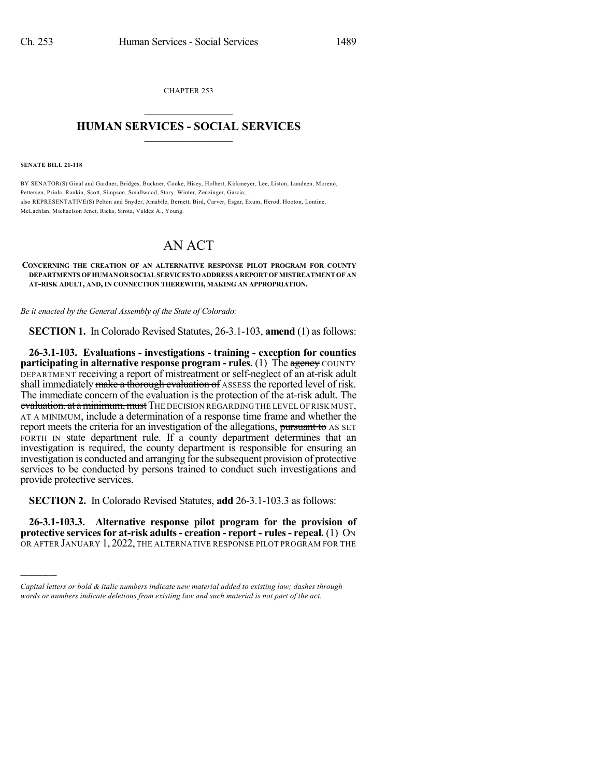CHAPTER 253  $\overline{\phantom{a}}$  . The set of the set of the set of the set of the set of the set of the set of the set of the set of the set of the set of the set of the set of the set of the set of the set of the set of the set of the set o

## **HUMAN SERVICES - SOCIAL SERVICES**  $\frac{1}{2}$  ,  $\frac{1}{2}$  ,  $\frac{1}{2}$  ,  $\frac{1}{2}$  ,  $\frac{1}{2}$  ,  $\frac{1}{2}$  ,  $\frac{1}{2}$

**SENATE BILL 21-118**

)))))

BY SENATOR(S) Ginal and Gardner, Bridges, Buckner, Cooke, Hisey, Holbert, Kirkmeyer, Lee, Liston, Lundeen, Moreno, Pettersen, Priola, Rankin, Scott, Simpson, Smallwood, Story, Winter, Zenzinger, Garcia; also REPRESENTATIVE(S) Pelton and Snyder, Amabile, Bernett, Bird, Carver, Esgar, Exum, Herod, Hooton, Lontine, McLachlan, Michaelson Jenet, Ricks, Sirota, Valdez A., Young.

## AN ACT

## **CONCERNING THE CREATION OF AN ALTERNATIVE RESPONSE PILOT PROGRAM FOR COUNTY DEPARTMENTS OFHUMANORSOCIALSERVICESTOADDRESS AREPORTOFMISTREATMENTOF AN AT-RISK ADULT, AND, IN CONNECTION THEREWITH, MAKING AN APPROPRIATION.**

*Be it enacted by the General Assembly of the State of Colorado:*

**SECTION 1.** In Colorado Revised Statutes, 26-3.1-103, **amend** (1) as follows:

**26-3.1-103. Evaluations - investigations - training - exception for counties participating in alternative response program - rules. (1) The agency COUNTY** DEPARTMENT receiving a report of mistreatment or self-neglect of an at-risk adult shall immediately make a thorough evaluation of ASSESS the reported level of risk. The immediate concern of the evaluation is the protection of the at-risk adult. The evaluation, at a minimum, must THE DECISION REGARDING THE LEVEL OF RISK MUST, AT A MINIMUM, include a determination of a response time frame and whether the report meets the criteria for an investigation of the allegations, pursuant to AS SET FORTH IN state department rule. If a county department determines that an investigation is required, the county department is responsible for ensuring an investigation is conducted and arranging for the subsequent provision of protective services to be conducted by persons trained to conduct such investigations and provide protective services.

**SECTION 2.** In Colorado Revised Statutes, **add** 26-3.1-103.3 as follows:

**26-3.1-103.3. Alternative response pilot program for the provision of protective servicesfor at-risk adults- creation - report - rules- repeal.** (1) ON OR AFTER JANUARY 1, 2022, THE ALTERNATIVE RESPONSE PILOT PROGRAM FOR THE

*Capital letters or bold & italic numbers indicate new material added to existing law; dashes through words or numbers indicate deletions from existing law and such material is not part of the act.*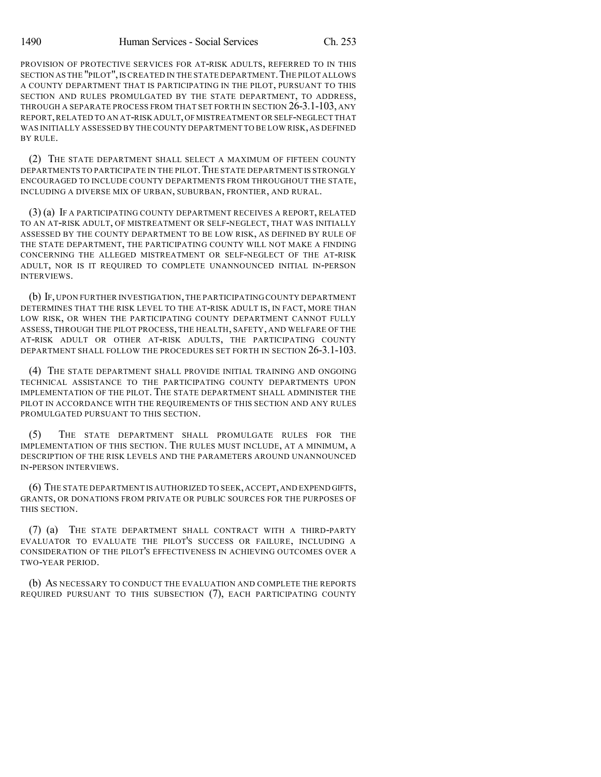PROVISION OF PROTECTIVE SERVICES FOR AT-RISK ADULTS, REFERRED TO IN THIS SECTION AS THE "PILOT", IS CREATED IN THE STATE DEPARTMENT. THE PILOT ALLOWS A COUNTY DEPARTMENT THAT IS PARTICIPATING IN THE PILOT, PURSUANT TO THIS SECTION AND RULES PROMULGATED BY THE STATE DEPARTMENT, TO ADDRESS, THROUGH A SEPARATE PROCESS FROM THAT SET FORTH IN SECTION 26-3.1-103, ANY REPORT,RELATED TO AN AT-RISK ADULT,OF MISTREATMENT OR SELF-NEGLECT THAT WAS INITIALLY ASSESSED BY THE COUNTY DEPARTMENT TO BE LOW RISK,AS DEFINED BY RULE.

(2) THE STATE DEPARTMENT SHALL SELECT A MAXIMUM OF FIFTEEN COUNTY DEPARTMENTS TO PARTICIPATE IN THE PILOT. THE STATE DEPARTMENT IS STRONGLY ENCOURAGED TO INCLUDE COUNTY DEPARTMENTS FROM THROUGHOUT THE STATE, INCLUDING A DIVERSE MIX OF URBAN, SUBURBAN, FRONTIER, AND RURAL.

(3) (a) IF A PARTICIPATING COUNTY DEPARTMENT RECEIVES A REPORT, RELATED TO AN AT-RISK ADULT, OF MISTREATMENT OR SELF-NEGLECT, THAT WAS INITIALLY ASSESSED BY THE COUNTY DEPARTMENT TO BE LOW RISK, AS DEFINED BY RULE OF THE STATE DEPARTMENT, THE PARTICIPATING COUNTY WILL NOT MAKE A FINDING CONCERNING THE ALLEGED MISTREATMENT OR SELF-NEGLECT OF THE AT-RISK ADULT, NOR IS IT REQUIRED TO COMPLETE UNANNOUNCED INITIAL IN-PERSON INTERVIEWS.

(b) IF, UPON FURTHER INVESTIGATION,THE PARTICIPATING COUNTY DEPARTMENT DETERMINES THAT THE RISK LEVEL TO THE AT-RISK ADULT IS, IN FACT, MORE THAN LOW RISK, OR WHEN THE PARTICIPATING COUNTY DEPARTMENT CANNOT FULLY ASSESS, THROUGH THE PILOT PROCESS, THE HEALTH, SAFETY, AND WELFARE OF THE AT-RISK ADULT OR OTHER AT-RISK ADULTS, THE PARTICIPATING COUNTY DEPARTMENT SHALL FOLLOW THE PROCEDURES SET FORTH IN SECTION 26-3.1-103.

(4) THE STATE DEPARTMENT SHALL PROVIDE INITIAL TRAINING AND ONGOING TECHNICAL ASSISTANCE TO THE PARTICIPATING COUNTY DEPARTMENTS UPON IMPLEMENTATION OF THE PILOT. THE STATE DEPARTMENT SHALL ADMINISTER THE PILOT IN ACCORDANCE WITH THE REQUIREMENTS OF THIS SECTION AND ANY RULES PROMULGATED PURSUANT TO THIS SECTION.

(5) THE STATE DEPARTMENT SHALL PROMULGATE RULES FOR THE IMPLEMENTATION OF THIS SECTION. THE RULES MUST INCLUDE, AT A MINIMUM, A DESCRIPTION OF THE RISK LEVELS AND THE PARAMETERS AROUND UNANNOUNCED IN-PERSON INTERVIEWS.

(6) THE STATE DEPARTMENT IS AUTHORIZED TO SEEK,ACCEPT,AND EXPEND GIFTS, GRANTS, OR DONATIONS FROM PRIVATE OR PUBLIC SOURCES FOR THE PURPOSES OF THIS SECTION.

(7) (a) THE STATE DEPARTMENT SHALL CONTRACT WITH A THIRD-PARTY EVALUATOR TO EVALUATE THE PILOT'S SUCCESS OR FAILURE, INCLUDING A CONSIDERATION OF THE PILOT'S EFFECTIVENESS IN ACHIEVING OUTCOMES OVER A TWO-YEAR PERIOD.

(b) AS NECESSARY TO CONDUCT THE EVALUATION AND COMPLETE THE REPORTS REQUIRED PURSUANT TO THIS SUBSECTION (7), EACH PARTICIPATING COUNTY